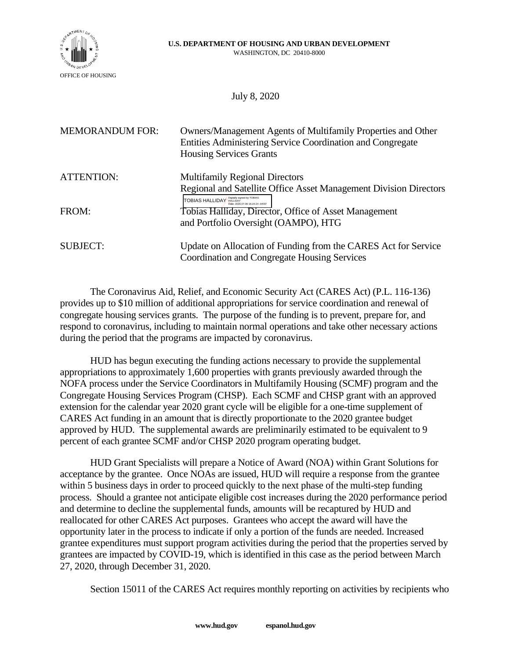

## July 8, 2020

| <b>MEMORANDUM FOR:</b> | Owners/Management Agents of Multifamily Properties and Other<br>Entities Administering Service Coordination and Congregate<br><b>Housing Services Grants</b> |
|------------------------|--------------------------------------------------------------------------------------------------------------------------------------------------------------|
| ATTENTION:             | <b>Multifamily Regional Directors</b>                                                                                                                        |
|                        | Regional and Satellite Office Asset Management Division Directors                                                                                            |
| FROM:                  | <b>TOBIAS HALLIDAY Pigitally signed by TOBIAS</b><br>Date: 2020.07.08 16:24:24 -04'00<br>Tobias Halliday, Director, Office of Asset Management               |
|                        | and Portfolio Oversight (OAMPO), HTG                                                                                                                         |
| SUBJECT:               | Update on Allocation of Funding from the CARES Act for Service<br>Coordination and Congregate Housing Services                                               |

The Coronavirus Aid, Relief, and Economic Security Act (CARES Act) (P.L. 116-136) provides up to \$10 million of additional appropriations for service coordination and renewal of congregate housing services grants. The purpose of the funding is to prevent, prepare for, and respond to coronavirus, including to maintain normal operations and take other necessary actions during the period that the programs are impacted by coronavirus.

HUD has begun executing the funding actions necessary to provide the supplemental appropriations to approximately 1,600 properties with grants previously awarded through the NOFA process under the Service Coordinators in Multifamily Housing (SCMF) program and the Congregate Housing Services Program (CHSP). Each SCMF and CHSP grant with an approved extension for the calendar year 2020 grant cycle will be eligible for a one-time supplement of CARES Act funding in an amount that is directly proportionate to the 2020 grantee budget approved by HUD. The supplemental awards are preliminarily estimated to be equivalent to 9 percent of each grantee SCMF and/or CHSP 2020 program operating budget.

HUD Grant Specialists will prepare a Notice of Award (NOA) within Grant Solutions for acceptance by the grantee. Once NOAs are issued, HUD will require a response from the grantee within 5 business days in order to proceed quickly to the next phase of the multi-step funding process. Should a grantee not anticipate eligible cost increases during the 2020 performance period and determine to decline the supplemental funds, amounts will be recaptured by HUD and reallocated for other CARES Act purposes. Grantees who accept the award will have the opportunity later in the process to indicate if only a portion of the funds are needed. Increased grantee expenditures must support program activities during the period that the properties served by grantees are impacted by COVID-19, which is identified in this case as the period between March 27, 2020, through December 31, 2020.

Section 15011 of the CARES Act requires monthly reporting on activities by recipients who